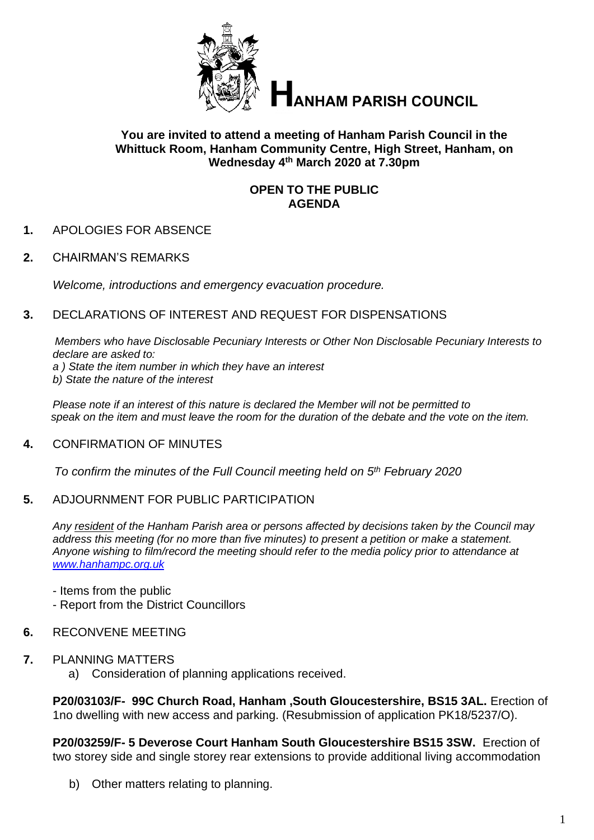

**HANHAM PARISH COUNCIL** 

### **You are invited to attend a meeting of Hanham Parish Council in the Whittuck Room, Hanham Community Centre, High Street, Hanham, on Wednesday 4 th March 2020 at 7.30pm**

## **OPEN TO THE PUBLIC AGENDA**

- **1.** APOLOGIES FOR ABSENCE
- **2.** CHAIRMAN'S REMARKS

*Welcome, introductions and emergency evacuation procedure.*

**3.** DECLARATIONS OF INTEREST AND REQUEST FOR DISPENSATIONS

*Members who have Disclosable Pecuniary Interests or Other Non Disclosable Pecuniary Interests to declare are asked to:*

*a ) State the item number in which they have an interest*

*b) State the nature of the interest*

*Please note if an interest of this nature is declared the Member will not be permitted to speak on the item and must leave the room for the duration of the debate and the vote on the item.*

#### **4.** CONFIRMATION OF MINUTES

*To confirm the minutes of the Full Council meeting held on 5 th February 2020*

#### **5.** ADJOURNMENT FOR PUBLIC PARTICIPATION

*Any resident of the Hanham Parish area or persons affected by decisions taken by the Council may address this meeting (for no more than five minutes) to present a petition or make a statement. Anyone wishing to film/record the meeting should refer to the media policy prior to attendance at [www.hanhampc.org.uk](http://www.hanhampc.org.uk/)*

- Items from the public

- Report from the District Councillors

#### **6.** RECONVENE MEETING

- **7.** PLANNING MATTERS
	- a) Consideration of planning applications received.

**P20/03103/F- 99C Church Road, Hanham ,South Gloucestershire, BS15 3AL.** Erection of 1no dwelling with new access and parking. (Resubmission of application PK18/5237/O).

**P20/03259/F- 5 Deverose Court Hanham South Gloucestershire BS15 3SW.** Erection of two storey side and single storey rear extensions to provide additional living accommodation

b) Other matters relating to planning.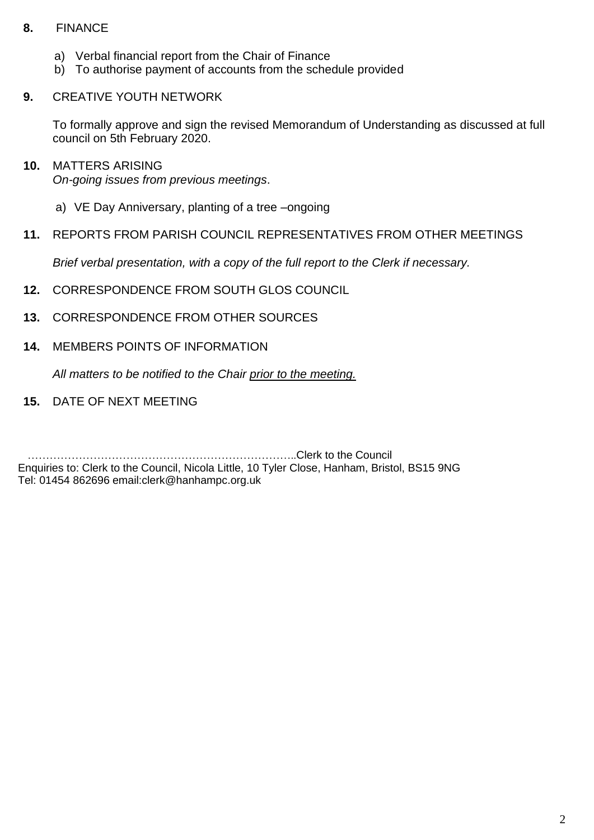## **8.** FINANCE

- a) Verbal financial report from the Chair of Finance
- b) To authorise payment of accounts from the schedule provided

## **9.** CREATIVE YOUTH NETWORK

To formally approve and sign the revised Memorandum of Understanding as discussed at full council on 5th February 2020.

#### **10.** MATTERS ARISING

*On-going issues from previous meetings*.

- a) VE Day Anniversary, planting of a tree –ongoing
- **11.** REPORTS FROM PARISH COUNCIL REPRESENTATIVES FROM OTHER MEETINGS

*Brief verbal presentation, with a copy of the full report to the Clerk if necessary.*

- **12.** CORRESPONDENCE FROM SOUTH GLOS COUNCIL
- **13.** CORRESPONDENCE FROM OTHER SOURCES
- **14.** MEMBERS POINTS OF INFORMATION

*All matters to be notified to the Chair prior to the meeting.*

**15.** DATE OF NEXT MEETING

 ………………………………………………………………..Clerk to the Council Enquiries to: Clerk to the Council, Nicola Little, 10 Tyler Close, Hanham, Bristol, BS15 9NG Tel: 01454 862696 email:clerk@hanhampc.org.uk